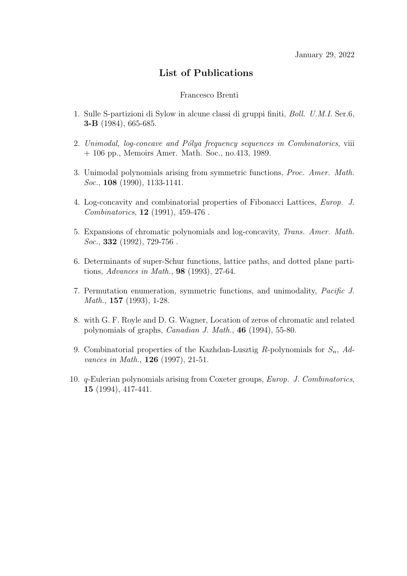## List of Publications

## Francesco Brenti

- 1. Sulle S-partizioni di Sylow in alcune classi di gruppi finiti, Boll. U.M.I. Ser.6, 3-B (1984), 665-685.
- 2. Unimodal, log-concave and Pólya frequency sequences in Combinatorics, viii + 106 pp., Memoirs Amer. Math. Soc., no.413, 1989.
- 3. Unimodal polynomials arising from symmetric functions, Proc. Amer. Math. Soc., **108** (1990), 1133-1141.
- 4. Log-concavity and combinatorial properties of Fibonacci Lattices, Europ. J. Combinatorics, 12 (1991), 459-476 .
- 5. Expansions of chromatic polynomials and log-concavity, Trans. Amer. Math.  $Soc., 332 (1992), 729-756.$
- 6. Determinants of super-Schur functions, lattice paths, and dotted plane partitions, Advances in Math., 98 (1993), 27-64.
- 7. Permutation enumeration, symmetric functions, and unimodality, Pacific J. Math., **157** (1993), 1-28.
- 8. with G. F. Royle and D. G. Wagner, Location of zeros of chromatic and related polynomials of graphs, Canadian J. Math., 46 (1994), 55-80.
- 9. Combinatorial properties of the Kazhdan-Lusztig R-polynomials for  $S_n$ , Advances in Math., 126 (1997), 21-51.
- 10. q-Eulerian polynomials arising from Coxeter groups, Europ. J. Combinatorics, 15 (1994), 417-441.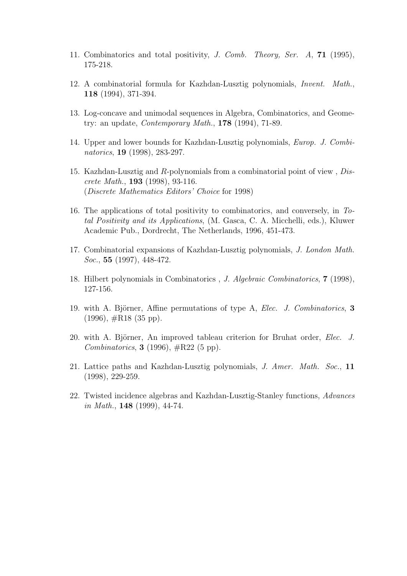- 11. Combinatorics and total positivity, J. Comb. Theory, Ser. A, 71 (1995), 175-218.
- 12. A combinatorial formula for Kazhdan-Lusztig polynomials, Invent. Math., 118 (1994), 371-394.
- 13. Log-concave and unimodal sequences in Algebra, Combinatorics, and Geometry: an update, Contemporary Math., 178 (1994), 71-89.
- 14. Upper and lower bounds for Kazhdan-Lusztig polynomials, Europ. J. Combinatorics, 19 (1998), 283-297.
- 15. Kazhdan-Lusztig and R-polynomials from a combinatorial point of view , Discrete Math., 193 (1998), 93-116. (Discrete Mathematics Editors' Choice for 1998)
- 16. The applications of total positivity to combinatorics, and conversely, in Total Positivity and its Applications, (M. Gasca, C. A. Micchelli, eds.), Kluwer Academic Pub., Dordrecht, The Netherlands, 1996, 451-473.
- 17. Combinatorial expansions of Kazhdan-Lusztig polynomials, J. London Math. Soc., **55** (1997), 448-472.
- 18. Hilbert polynomials in Combinatorics , J. Algebraic Combinatorics, 7 (1998), 127-156.
- 19. with A. Björner, Affine permutations of type A, Elec. J. Combinatorics,  $3$  $(1996), \#R18$   $(35 \text{ pp}).$
- 20. with A. Björner, An improved tableau criterion for Bruhat order, *Elec. J. Combinatorics*, **3** (1996),  $\#R22$  (5 pp).
- 21. Lattice paths and Kazhdan-Lusztig polynomials, J. Amer. Math. Soc., 11 (1998), 229-259.
- 22. Twisted incidence algebras and Kazhdan-Lusztig-Stanley functions, Advances in Math.,  $148$  (1999), 44-74.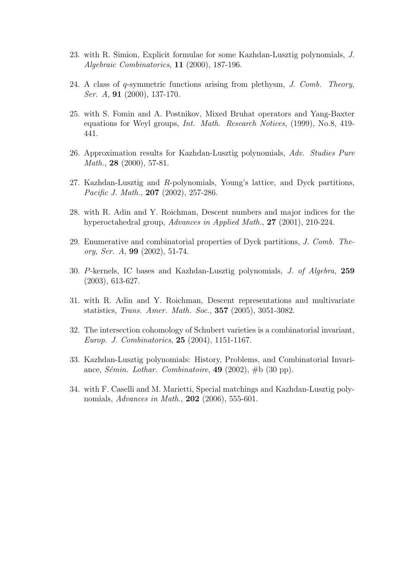- 23. with R. Simion, Explicit formulae for some Kazhdan-Lusztig polynomials, J. Algebraic Combinatorics, 11 (2000), 187-196.
- 24. A class of q-symmetric functions arising from plethysm, J. Comb. Theory, Ser. A, 91 (2000), 137-170.
- 25. with S. Fomin and A. Postnikov, Mixed Bruhat operators and Yang-Baxter equations for Weyl groups, Int. Math. Research Notices, (1999), No.8, 419- 441.
- 26. Approximation results for Kazhdan-Lusztig polynomials, Adv. Studies Pure *Math.*, **28** (2000), 57-81.
- 27. Kazhdan-Lusztig and R-polynomials, Young's lattice, and Dyck partitions, Pacific J. Math., **207** (2002), 257-286.
- 28. with R. Adin and Y. Roichman, Descent numbers and major indices for the hyperoctahedral group, Advances in Applied Math., 27 (2001), 210-224.
- 29. Enumerative and combinatorial properties of Dyck partitions, J. Comb. Theory, Ser. A, 99 (2002), 51-74.
- 30. P-kernels, IC bases and Kazhdan-Lusztig polynomials, J. of Algebra, 259 (2003), 613-627.
- 31. with R. Adin and Y. Roichman, Descent representations and multivariate statistics, Trans. Amer. Math. Soc., 357 (2005), 3051-3082.
- 32. The intersection cohomology of Schubert varieties is a combinatorial invariant, Europ. J. Combinatorics, 25 (2004), 1151-1167.
- 33. Kazhdan-Lusztig polynomials: History, Problems, and Combinatorial Invariance, *Sémin. Lothar. Combinatoire*, **49** (2002),  $\#b$  (30 pp).
- 34. with F. Caselli and M. Marietti, Special matchings and Kazhdan-Lusztig polynomials, *Advances in Math.*, **202** (2006), 555-601.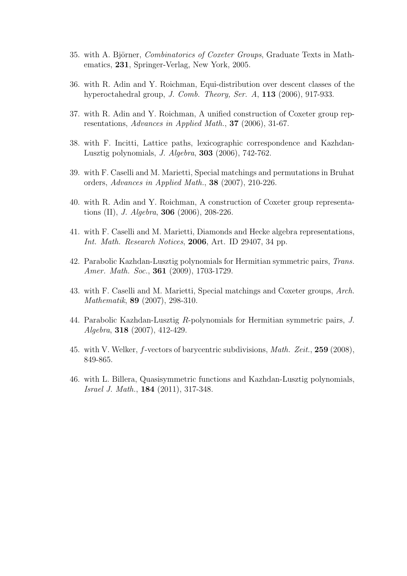- 35. with A. Björner, *Combinatorics of Coxeter Groups*, Graduate Texts in Mathematics, 231, Springer-Verlag, New York, 2005.
- 36. with R. Adin and Y. Roichman, Equi-distribution over descent classes of the hyperoctahedral group, *J. Comb. Theory, Ser. A*, **113** (2006), 917-933.
- 37. with R. Adin and Y. Roichman, A unified construction of Coxeter group representations, Advances in Applied Math., 37 (2006), 31-67.
- 38. with F. Incitti, Lattice paths, lexicographic correspondence and Kazhdan-Lusztig polynomials, J. Algebra, 303 (2006), 742-762.
- 39. with F. Caselli and M. Marietti, Special matchings and permutations in Bruhat orders, Advances in Applied Math., 38 (2007), 210-226.
- 40. with R. Adin and Y. Roichman, A construction of Coxeter group representations (II), *J. Algebra*, **306** (2006), 208-226.
- 41. with F. Caselli and M. Marietti, Diamonds and Hecke algebra representations, Int. Math. Research Notices, 2006, Art. ID 29407, 34 pp.
- 42. Parabolic Kazhdan-Lusztig polynomials for Hermitian symmetric pairs, Trans. Amer. Math. Soc., **361** (2009), 1703-1729.
- 43. with F. Caselli and M. Marietti, Special matchings and Coxeter groups, Arch. Mathematik, 89 (2007), 298-310.
- 44. Parabolic Kazhdan-Lusztig R-polynomials for Hermitian symmetric pairs, J. Algebra, 318 (2007), 412-429.
- 45. with V. Welker, f-vectors of barycentric subdivisions, Math. Zeit., 259 (2008), 849-865.
- 46. with L. Billera, Quasisymmetric functions and Kazhdan-Lusztig polynomials, Israel J. Math., 184 (2011), 317-348.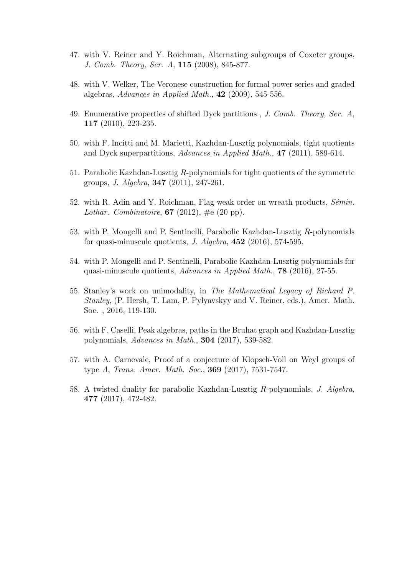- 47. with V. Reiner and Y. Roichman, Alternating subgroups of Coxeter groups, J. Comb. Theory, Ser. A, 115 (2008), 845-877.
- 48. with V. Welker, The Veronese construction for formal power series and graded algebras, Advances in Applied Math.,  $42$  (2009), 545-556.
- 49. Enumerative properties of shifted Dyck partitions , J. Comb. Theory, Ser. A, 117 (2010), 223-235.
- 50. with F. Incitti and M. Marietti, Kazhdan-Lusztig polynomials, tight quotients and Dyck superpartitions, Advances in Applied Math., 47 (2011), 589-614.
- 51. Parabolic Kazhdan-Lusztig R-polynomials for tight quotients of the symmetric groups, J. Algebra, 347 (2011), 247-261.
- 52. with R. Adin and Y. Roichman, Flag weak order on wreath products,  $Sémin$ . Lothar. Combinatoire,  $67$  (2012),  $\#e$  (20 pp).
- 53. with P. Mongelli and P. Sentinelli, Parabolic Kazhdan-Lusztig R-polynomials for quasi-minuscule quotients, J. Algebra,  $452$  (2016), 574-595.
- 54. with P. Mongelli and P. Sentinelli, Parabolic Kazhdan-Lusztig polynomials for quasi-minuscule quotients, Advances in Applied Math., 78 (2016), 27-55.
- 55. Stanley's work on unimodality, in The Mathematical Legacy of Richard P. Stanley, (P. Hersh, T. Lam, P. Pylyavskyy and V. Reiner, eds.), Amer. Math. Soc. , 2016, 119-130.
- 56. with F. Caselli, Peak algebras, paths in the Bruhat graph and Kazhdan-Lusztig polynomials, Advances in Math., 304 (2017), 539-582.
- 57. with A. Carnevale, Proof of a conjecture of Klopsch-Voll on Weyl groups of type A, Trans. Amer. Math. Soc., **369** (2017), 7531-7547.
- 58. A twisted duality for parabolic Kazhdan-Lusztig R-polynomials, J. Algebra, 477 (2017), 472-482.